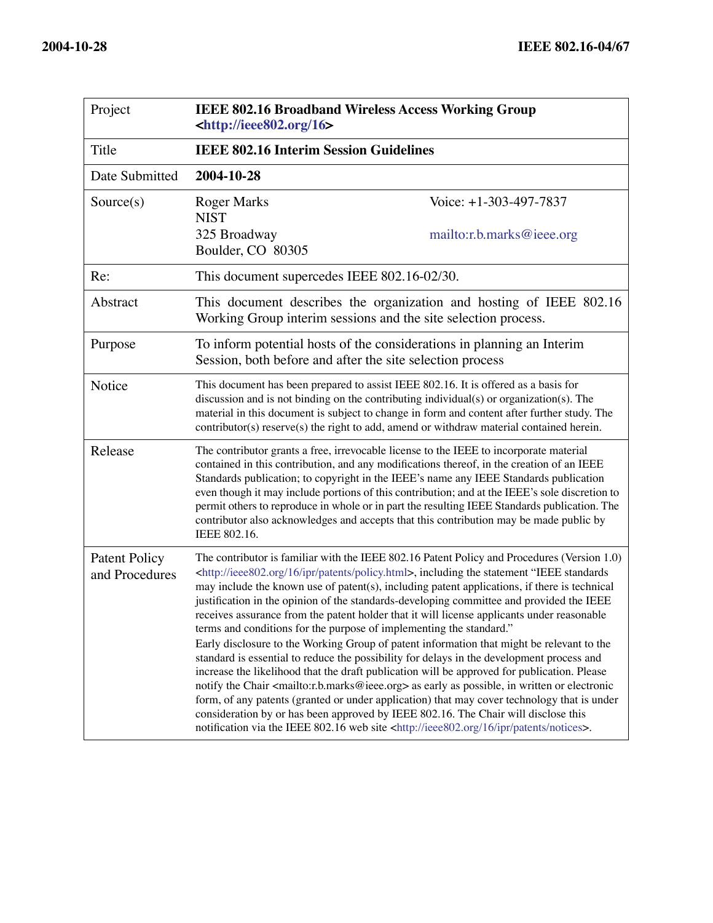| Project                                | <b>IEEE 802.16 Broadband Wireless Access Working Group</b><br>$\left  \text{thttp:} \right  / \text{iece} 802.\text{org}/16$                                                                                                                                                                                                                                                                                                                                                                                                                                                                                                                                                                                                                                                                                                                                                                                                                                                                                                                                                                                                                                                                                                                                                                                       |  |
|----------------------------------------|--------------------------------------------------------------------------------------------------------------------------------------------------------------------------------------------------------------------------------------------------------------------------------------------------------------------------------------------------------------------------------------------------------------------------------------------------------------------------------------------------------------------------------------------------------------------------------------------------------------------------------------------------------------------------------------------------------------------------------------------------------------------------------------------------------------------------------------------------------------------------------------------------------------------------------------------------------------------------------------------------------------------------------------------------------------------------------------------------------------------------------------------------------------------------------------------------------------------------------------------------------------------------------------------------------------------|--|
| Title                                  | <b>IEEE 802.16 Interim Session Guidelines</b>                                                                                                                                                                                                                                                                                                                                                                                                                                                                                                                                                                                                                                                                                                                                                                                                                                                                                                                                                                                                                                                                                                                                                                                                                                                                      |  |
| Date Submitted                         | 2004-10-28                                                                                                                                                                                                                                                                                                                                                                                                                                                                                                                                                                                                                                                                                                                                                                                                                                                                                                                                                                                                                                                                                                                                                                                                                                                                                                         |  |
| Source(s)                              | Voice: $+1-303-497-7837$<br><b>Roger Marks</b><br><b>NIST</b><br>325 Broadway<br>mailto:r.b.marks@ieee.org<br>Boulder, CO 80305                                                                                                                                                                                                                                                                                                                                                                                                                                                                                                                                                                                                                                                                                                                                                                                                                                                                                                                                                                                                                                                                                                                                                                                    |  |
| Re:                                    | This document supercedes IEEE 802.16-02/30.                                                                                                                                                                                                                                                                                                                                                                                                                                                                                                                                                                                                                                                                                                                                                                                                                                                                                                                                                                                                                                                                                                                                                                                                                                                                        |  |
| Abstract                               | This document describes the organization and hosting of IEEE 802.16<br>Working Group interim sessions and the site selection process.                                                                                                                                                                                                                                                                                                                                                                                                                                                                                                                                                                                                                                                                                                                                                                                                                                                                                                                                                                                                                                                                                                                                                                              |  |
| Purpose                                | To inform potential hosts of the considerations in planning an Interim<br>Session, both before and after the site selection process                                                                                                                                                                                                                                                                                                                                                                                                                                                                                                                                                                                                                                                                                                                                                                                                                                                                                                                                                                                                                                                                                                                                                                                |  |
| Notice                                 | This document has been prepared to assist IEEE 802.16. It is offered as a basis for<br>discussion and is not binding on the contributing individual(s) or organization(s). The<br>material in this document is subject to change in form and content after further study. The<br>contributor(s) reserve(s) the right to add, amend or withdraw material contained herein.                                                                                                                                                                                                                                                                                                                                                                                                                                                                                                                                                                                                                                                                                                                                                                                                                                                                                                                                          |  |
| Release                                | The contributor grants a free, irrevocable license to the IEEE to incorporate material<br>contained in this contribution, and any modifications thereof, in the creation of an IEEE<br>Standards publication; to copyright in the IEEE's name any IEEE Standards publication<br>even though it may include portions of this contribution; and at the IEEE's sole discretion to<br>permit others to reproduce in whole or in part the resulting IEEE Standards publication. The<br>contributor also acknowledges and accepts that this contribution may be made public by<br>IEEE 802.16.                                                                                                                                                                                                                                                                                                                                                                                                                                                                                                                                                                                                                                                                                                                           |  |
| <b>Patent Policy</b><br>and Procedures | The contributor is familiar with the IEEE 802.16 Patent Policy and Procedures (Version 1.0)<br><http: 16="" ieee802.org="" ipr="" patents="" policy.html="">, including the statement "IEEE standards<br/>may include the known use of patent(s), including patent applications, if there is technical<br/>justification in the opinion of the standards-developing committee and provided the IEEE<br/>receives assurance from the patent holder that it will license applicants under reasonable<br/>terms and conditions for the purpose of implementing the standard."<br/>Early disclosure to the Working Group of patent information that might be relevant to the<br/>standard is essential to reduce the possibility for delays in the development process and<br/>increase the likelihood that the draft publication will be approved for publication. Please<br/>notify the Chair <mailto:r.b.marks@ieee.org> as early as possible, in written or electronic<br/>form, of any patents (granted or under application) that may cover technology that is under<br/>consideration by or has been approved by IEEE 802.16. The Chair will disclose this<br/>notification via the IEEE 802.16 web site <http: 16="" ieee802.org="" ipr="" notices="" patents="">.</http:></mailto:r.b.marks@ieee.org></http:> |  |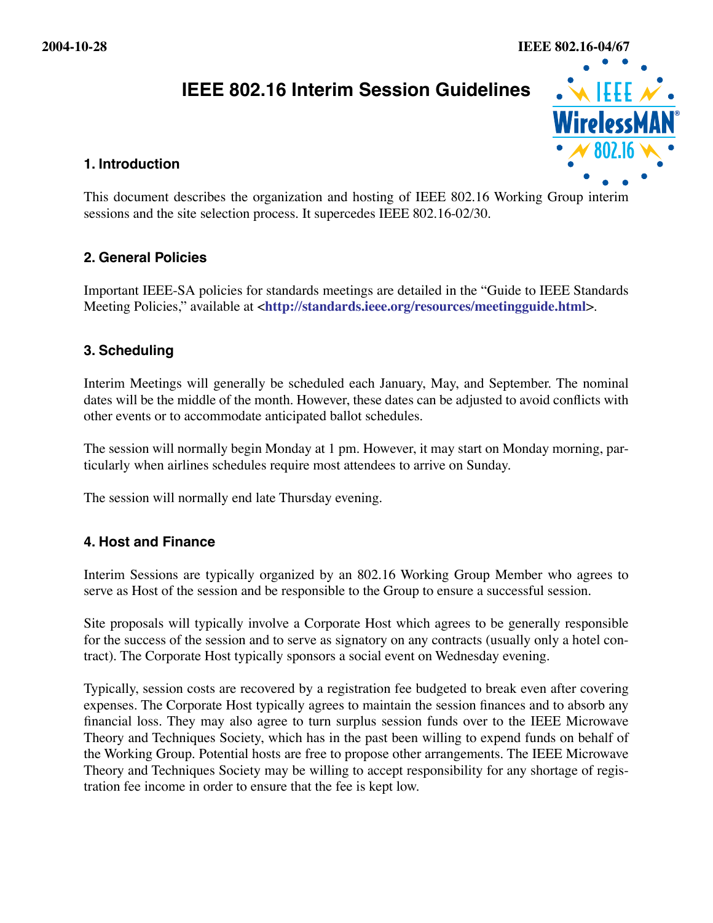

# **1. Introduction**

This document describes the organization and hosting of IEEE 802.16 Working Group interim sessions and the site selection process. It supercedes IEEE 802.16-02/30.

# **2. General Policies**

Important IEEE-SA policies for standards meetings are detailed in the "Guide to IEEE Standards Meeting Policies," available at <**<http://standards.ieee.org/resources/meetingguide.html>**>.

# **3. Scheduling**

Interim Meetings will generally be scheduled each January, May, and September. The nominal dates will be the middle of the month. However, these dates can be adjusted to avoid conflicts with other events or to accommodate anticipated ballot schedules.

The session will normally begin Monday at 1 pm. However, it may start on Monday morning, particularly when airlines schedules require most attendees to arrive on Sunday.

The session will normally end late Thursday evening.

# **4. Host and Finance**

Interim Sessions are typically organized by an 802.16 Working Group Member who agrees to serve as Host of the session and be responsible to the Group to ensure a successful session.

Site proposals will typically involve a Corporate Host which agrees to be generally responsible for the success of the session and to serve as signatory on any contracts (usually only a hotel contract). The Corporate Host typically sponsors a social event on Wednesday evening.

Typically, session costs are recovered by a registration fee budgeted to break even after covering expenses. The Corporate Host typically agrees to maintain the session finances and to absorb any financial loss. They may also agree to turn surplus session funds over to the IEEE Microwave Theory and Techniques Society, which has in the past been willing to expend funds on behalf of the Working Group. Potential hosts are free to propose other arrangements. The IEEE Microwave Theory and Techniques Society may be willing to accept responsibility for any shortage of regis-**The state of the state of the state of the state of the state of the fee income income income income income income income income income income income income income income income income income income income income income i**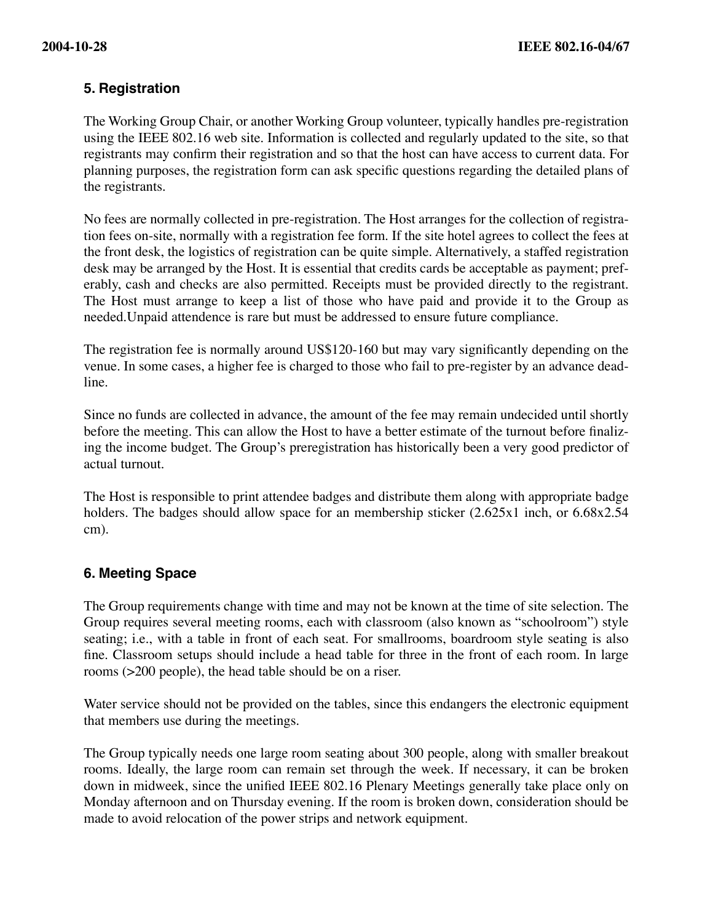# **5. Registration**

The Working Group Chair, or another Working Group volunteer, typically handles pre-registration using the IEEE 802.16 web site. Information is collected and regularly updated to the site, so that registrants may confirm their registration and so that the host can have access to current data. For planning purposes, the registration form can ask specific questions regarding the detailed plans of the registrants.

No fees are normally collected in pre-registration. The Host arranges for the collection of registration fees on-site, normally with a registration fee form. If the site hotel agrees to collect the fees at the front desk, the logistics of registration can be quite simple. Alternatively, a staffed registration desk may be arranged by the Host. It is essential that credits cards be acceptable as payment; preferably, cash and checks are also permitted. Receipts must be provided directly to the registrant. The Host must arrange to keep a list of those who have paid and provide it to the Group as needed.Unpaid attendence is rare but must be addressed to ensure future compliance.

The registration fee is normally around US\$120-160 but may vary significantly depending on the venue. In some cases, a higher fee is charged to those who fail to pre-register by an advance deadline.

Since no funds are collected in advance, the amount of the fee may remain undecided until shortly before the meeting. This can allow the Host to have a better estimate of the turnout before finalizing the income budget. The Group's preregistration has historically been a very good predictor of actual turnout.

The Host is responsible to print attendee badges and distribute them along with appropriate badge holders. The badges should allow space for an membership sticker  $(2.625x1$  inch, or  $6.68x2.54$ cm).

# **6. Meeting Space**

The Group requirements change with time and may not be known at the time of site selection. The Group requires several meeting rooms, each with classroom (also known as "schoolroom") style seating; i.e., with a table in front of each seat. For smallrooms, boardroom style seating is also fine. Classroom setups should include a head table for three in the front of each room. In large rooms (>200 people), the head table should be on a riser.

Water service should not be provided on the tables, since this endangers the electronic equipment that members use during the meetings.

The Group typically needs one large room seating about 300 people, along with smaller breakout rooms. Ideally, the large room can remain set through the week. If necessary, it can be broken down in midweek, since the unified IEEE 802.16 Plenary Meetings generally take place only on Monday afternoon and on Thursday evening. If the room is broken down, consideration should be made to avoid relocation of the power strips and network equipment.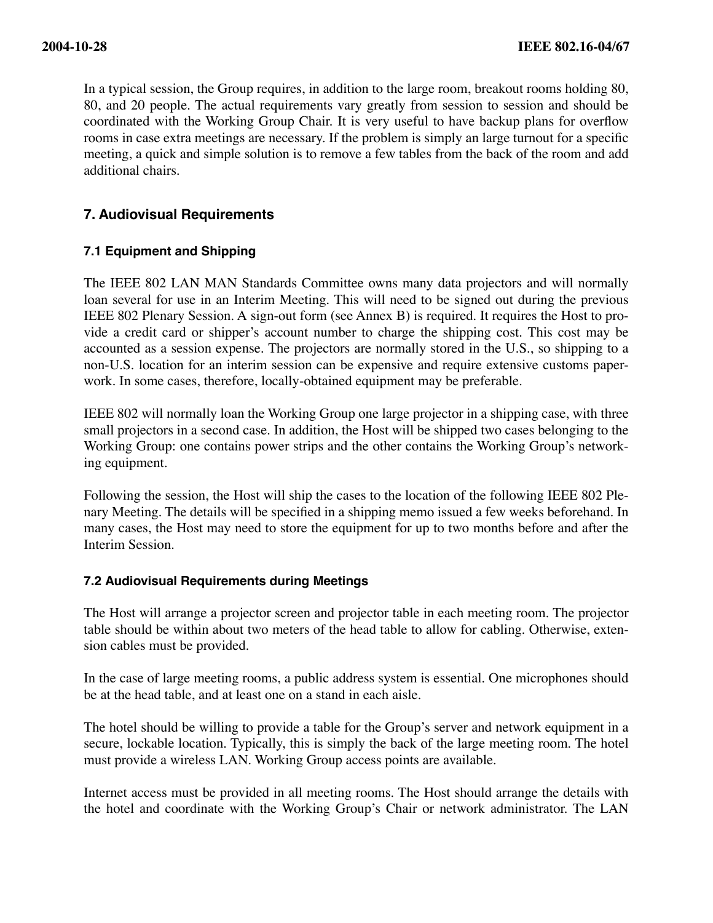In a typical session, the Group requires, in addition to the large room, breakout rooms holding 80, 80, and 20 people. The actual requirements vary greatly from session to session and should be coordinated with the Working Group Chair. It is very useful to have backup plans for overflow rooms in case extra meetings are necessary. If the problem is simply an large turnout for a specific meeting, a quick and simple solution is to remove a few tables from the back of the room and add additional chairs.

# **7. Audiovisual Requirements**

# **7.1 Equipment and Shipping**

The IEEE 802 LAN MAN Standards Committee owns many data projectors and will normally loan several for use in an Interim Meeting. This will need to be signed out during the previous IEEE 802 Plenary Session. A sign-out form (see Annex B) is required. It requires the Host to provide a credit card or shipper's account number to charge the shipping cost. This cost may be accounted as a session expense. The projectors are normally stored in the U.S., so shipping to a non-U.S. location for an interim session can be expensive and require extensive customs paperwork. In some cases, therefore, locally-obtained equipment may be preferable.

IEEE 802 will normally loan the Working Group one large projector in a shipping case, with three small projectors in a second case. In addition, the Host will be shipped two cases belonging to the Working Group: one contains power strips and the other contains the Working Group's networking equipment.

Following the session, the Host will ship the cases to the location of the following IEEE 802 Plenary Meeting. The details will be specified in a shipping memo issued a few weeks beforehand. In many cases, the Host may need to store the equipment for up to two months before and after the Interim Session.

#### **7.2 Audiovisual Requirements during Meetings**

The Host will arrange a projector screen and projector table in each meeting room. The projector table should be within about two meters of the head table to allow for cabling. Otherwise, extension cables must be provided.

In the case of large meeting rooms, a public address system is essential. One microphones should be at the head table, and at least one on a stand in each aisle.

The hotel should be willing to provide a table for the Group's server and network equipment in a secure, lockable location. Typically, this is simply the back of the large meeting room. The hotel must provide a wireless LAN. Working Group access points are available.

Internet access must be provided in all meeting rooms. The Host should arrange the details with the hotel and coordinate with the Working Group's Chair or network administrator. The LAN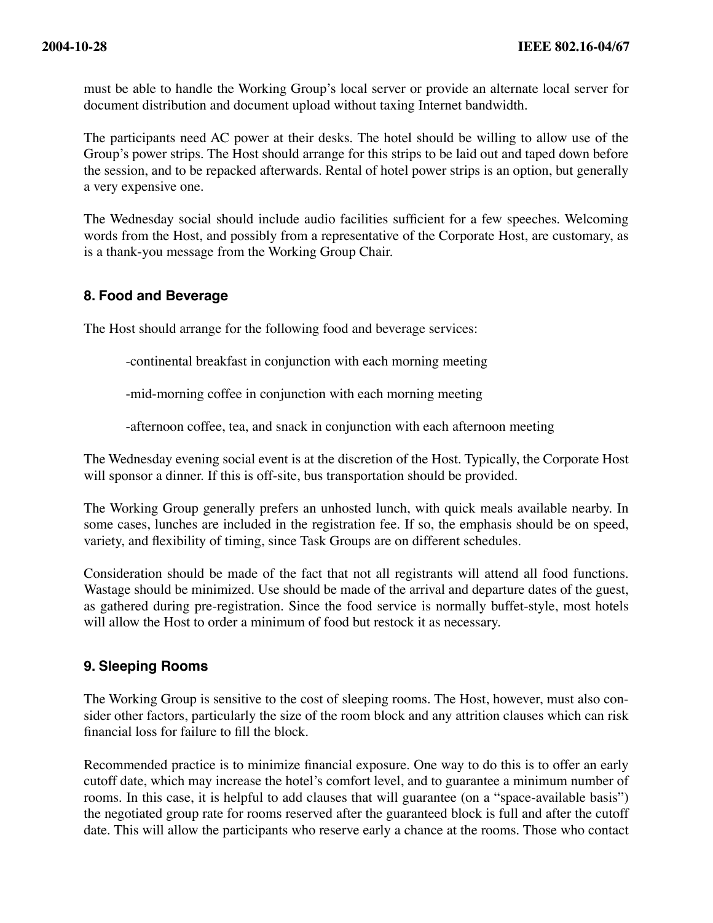must be able to handle the Working Group's local server or provide an alternate local server for document distribution and document upload without taxing Internet bandwidth.

The participants need AC power at their desks. The hotel should be willing to allow use of the Group's power strips. The Host should arrange for this strips to be laid out and taped down before the session, and to be repacked afterwards. Rental of hotel power strips is an option, but generally a very expensive one.

The Wednesday social should include audio facilities sufficient for a few speeches. Welcoming words from the Host, and possibly from a representative of the Corporate Host, are customary, as is a thank-you message from the Working Group Chair.

### **8. Food and Beverage**

The Host should arrange for the following food and beverage services:

-continental breakfast in conjunction with each morning meeting

-mid-morning coffee in conjunction with each morning meeting

-afternoon coffee, tea, and snack in conjunction with each afternoon meeting

The Wednesday evening social event is at the discretion of the Host. Typically, the Corporate Host will sponsor a dinner. If this is off-site, bus transportation should be provided.

The Working Group generally prefers an unhosted lunch, with quick meals available nearby. In some cases, lunches are included in the registration fee. If so, the emphasis should be on speed, variety, and flexibility of timing, since Task Groups are on different schedules.

Consideration should be made of the fact that not all registrants will attend all food functions. Wastage should be minimized. Use should be made of the arrival and departure dates of the guest, as gathered during pre-registration. Since the food service is normally buffet-style, most hotels will allow the Host to order a minimum of food but restock it as necessary.

# **9. Sleeping Rooms**

The Working Group is sensitive to the cost of sleeping rooms. The Host, however, must also consider other factors, particularly the size of the room block and any attrition clauses which can risk financial loss for failure to fill the block.

Recommended practice is to minimize financial exposure. One way to do this is to offer an early cutoff date, which may increase the hotel's comfort level, and to guarantee a minimum number of rooms. In this case, it is helpful to add clauses that will guarantee (on a "space-available basis") the negotiated group rate for rooms reserved after the guaranteed block is full and after the cutoff date. This will allow the participants who reserve early a chance at the rooms. Those who contact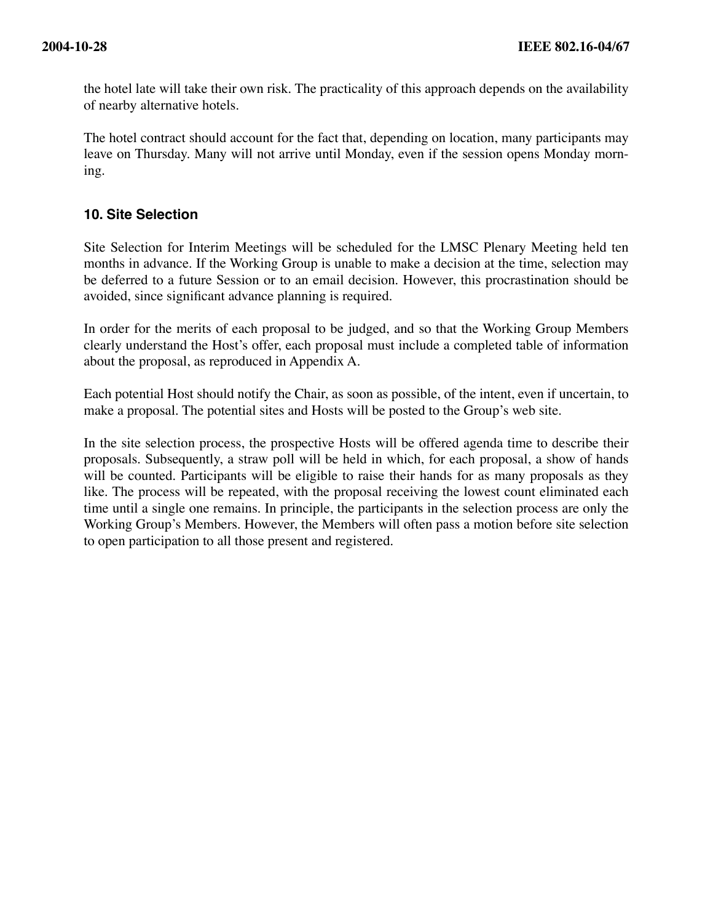the hotel late will take their own risk. The practicality of this approach depends on the availability of nearby alternative hotels.

The hotel contract should account for the fact that, depending on location, many participants may leave on Thursday. Many will not arrive until Monday, even if the session opens Monday morning.

# **10. Site Selection**

Site Selection for Interim Meetings will be scheduled for the LMSC Plenary Meeting held ten months in advance. If the Working Group is unable to make a decision at the time, selection may be deferred to a future Session or to an email decision. However, this procrastination should be avoided, since significant advance planning is required.

In order for the merits of each proposal to be judged, and so that the Working Group Members clearly understand the Host's offer, each proposal must include a completed table of information about the proposal, as reproduced in Appendix A.

Each potential Host should notify the Chair, as soon as possible, of the intent, even if uncertain, to make a proposal. The potential sites and Hosts will be posted to the Group's web site.

In the site selection process, the prospective Hosts will be offered agenda time to describe their proposals. Subsequently, a straw poll will be held in which, for each proposal, a show of hands will be counted. Participants will be eligible to raise their hands for as many proposals as they like. The process will be repeated, with the proposal receiving the lowest count eliminated each time until a single one remains. In principle, the participants in the selection process are only the Working Group's Members. However, the Members will often pass a motion before site selection to open participation to all those present and registered.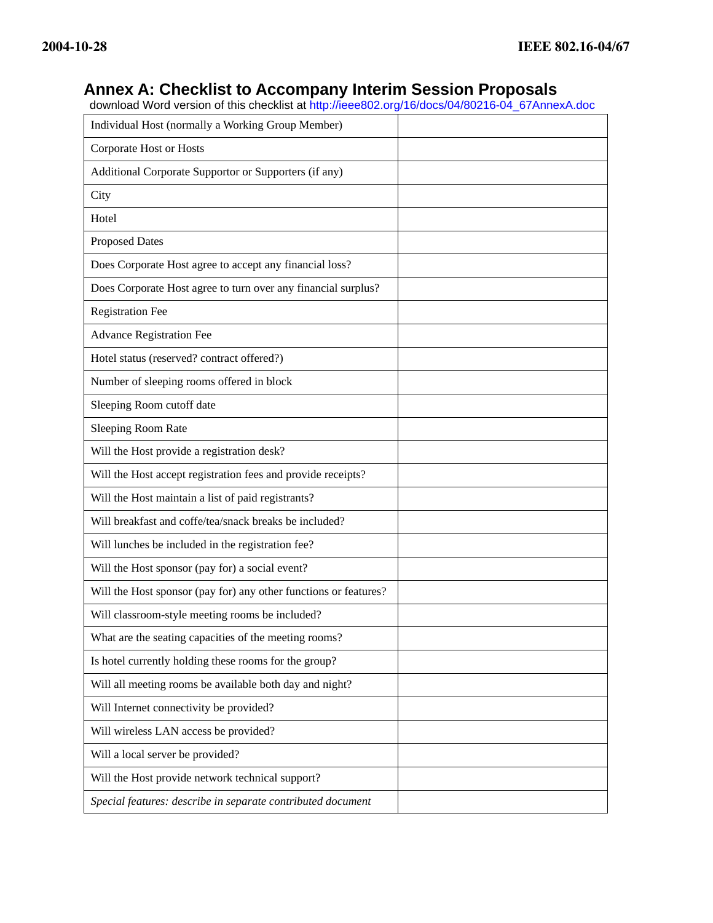# **Annex A: Checklist to Accompany Interim Session Proposals**

download Word version of this checklist at [http://ieee802.org/16/docs/04/80216-04\\_67AnnexA.doc](http://ieee802.org/16/docs/04/80216-04_67AnnexA.doc)

| Individual Host (normally a Working Group Member)                |  |
|------------------------------------------------------------------|--|
| Corporate Host or Hosts                                          |  |
| Additional Corporate Supportor or Supporters (if any)            |  |
| City                                                             |  |
| Hotel                                                            |  |
| <b>Proposed Dates</b>                                            |  |
| Does Corporate Host agree to accept any financial loss?          |  |
| Does Corporate Host agree to turn over any financial surplus?    |  |
| <b>Registration Fee</b>                                          |  |
| <b>Advance Registration Fee</b>                                  |  |
| Hotel status (reserved? contract offered?)                       |  |
| Number of sleeping rooms offered in block                        |  |
| Sleeping Room cutoff date                                        |  |
| Sleeping Room Rate                                               |  |
| Will the Host provide a registration desk?                       |  |
| Will the Host accept registration fees and provide receipts?     |  |
| Will the Host maintain a list of paid registrants?               |  |
| Will breakfast and coffe/tea/snack breaks be included?           |  |
| Will lunches be included in the registration fee?                |  |
| Will the Host sponsor (pay for) a social event?                  |  |
| Will the Host sponsor (pay for) any other functions or features? |  |
| Will classroom-style meeting rooms be included?                  |  |
| What are the seating capacities of the meeting rooms?            |  |
| Is hotel currently holding these rooms for the group?            |  |
| Will all meeting rooms be available both day and night?          |  |
| Will Internet connectivity be provided?                          |  |
| Will wireless LAN access be provided?                            |  |
| Will a local server be provided?                                 |  |
| Will the Host provide network technical support?                 |  |
| Special features: describe in separate contributed document      |  |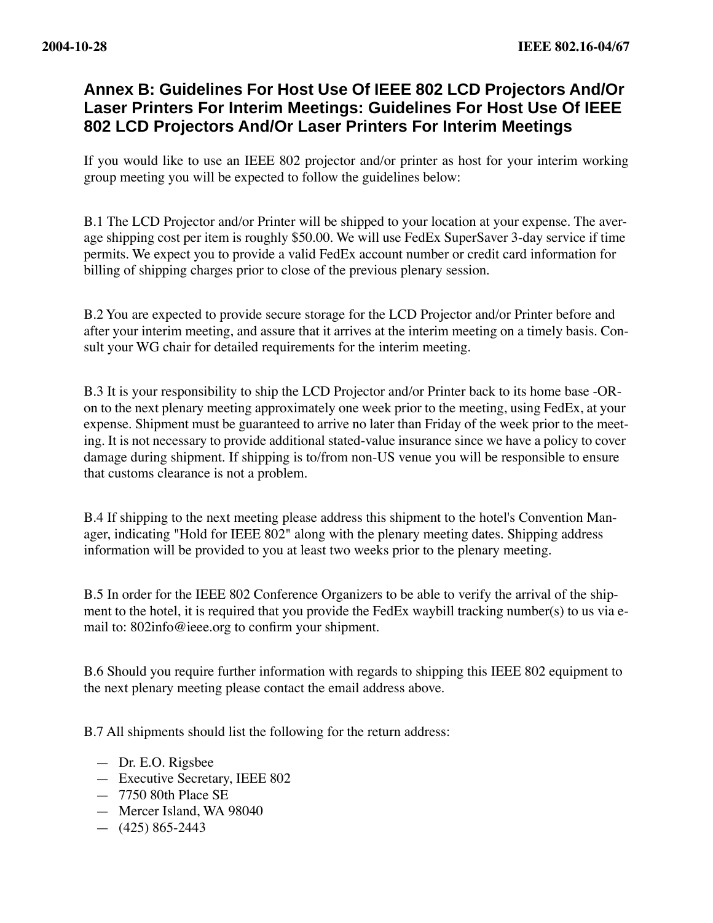# **Annex B: Guidelines For Host Use Of IEEE 802 LCD Projectors And/Or Laser Printers For Interim Meetings: Guidelines For Host Use Of IEEE 802 LCD Projectors And/Or Laser Printers For Interim Meetings**

If you would like to use an IEEE 802 projector and/or printer as host for your interim working group meeting you will be expected to follow the guidelines below:

B.1 The LCD Projector and/or Printer will be shipped to your location at your expense. The average shipping cost per item is roughly \$50.00. We will use FedEx SuperSaver 3-day service if time permits. We expect you to provide a valid FedEx account number or credit card information for billing of shipping charges prior to close of the previous plenary session.

B.2 You are expected to provide secure storage for the LCD Projector and/or Printer before and after your interim meeting, and assure that it arrives at the interim meeting on a timely basis. Consult your WG chair for detailed requirements for the interim meeting.

B.3 It is your responsibility to ship the LCD Projector and/or Printer back to its home base -ORon to the next plenary meeting approximately one week prior to the meeting, using FedEx, at your expense. Shipment must be guaranteed to arrive no later than Friday of the week prior to the meeting. It is not necessary to provide additional stated-value insurance since we have a policy to cover damage during shipment. If shipping is to/from non-US venue you will be responsible to ensure that customs clearance is not a problem.

B.4 If shipping to the next meeting please address this shipment to the hotel's Convention Manager, indicating "Hold for IEEE 802" along with the plenary meeting dates. Shipping address information will be provided to you at least two weeks prior to the plenary meeting.

B.5 In order for the IEEE 802 Conference Organizers to be able to verify the arrival of the shipment to the hotel, it is required that you provide the FedEx waybill tracking number(s) to us via email to: 802info@ieee.org to confirm your shipment.

B.6 Should you require further information with regards to shipping this IEEE 802 equipment to the next plenary meeting please contact the email address above.

B.7 All shipments should list the following for the return address:

- Dr. E.O. Rigsbee
- Executive Secretary, IEEE 802
- 7750 80th Place SE
- Mercer Island, WA 98040
- $-$  (425) 865-2443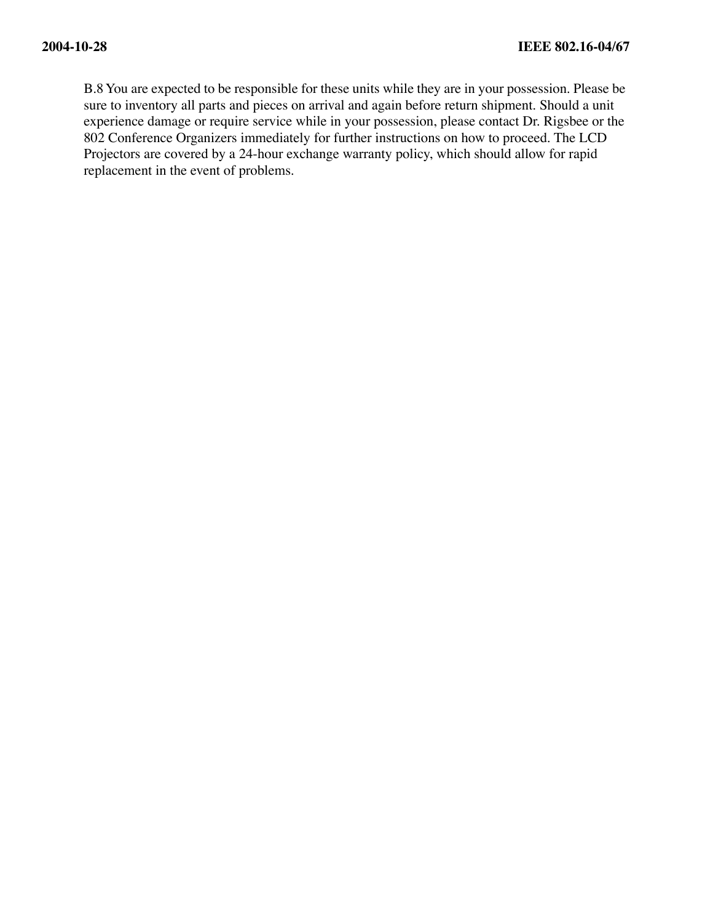B.8 You are expected to be responsible for these units while they are in your possession. Please be sure to inventory all parts and pieces on arrival and again before return shipment. Should a unit experience damage or require service while in your possession, please contact Dr. Rigsbee or the 802 Conference Organizers immediately for further instructions on how to proceed. The LCD Projectors are covered by a 24-hour exchange warranty policy, which should allow for rapid replacement in the event of problems.